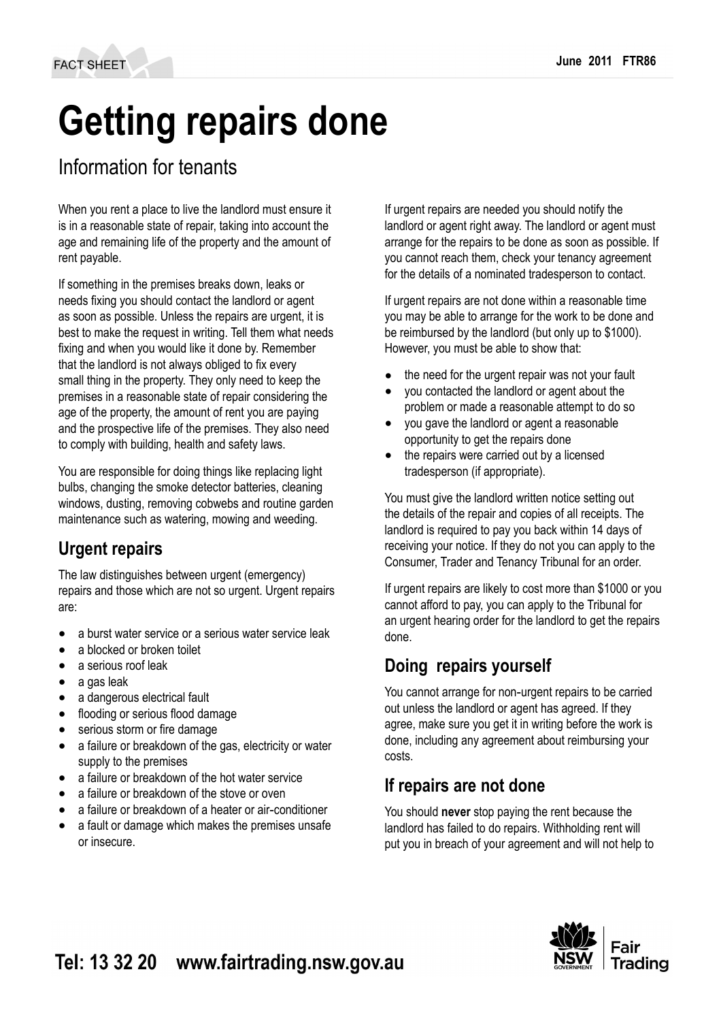# **Getting repairs done**

## Information for tenants

When you rent a place to live the landlord must ensure it is in a reasonable state of repair, taking into account the age and remaining life of the property and the amount of rent payable.

If something in the premises breaks down, leaks or needs fixing you should contact the landlord or agent as soon as possible. Unless the repairs are urgent, it is best to make the request in writing. Tell them what needs fixing and when you would like it done by. Remember that the landlord is not always obliged to fix every small thing in the property. They only need to keep the premises in a reasonable state of repair considering the age of the property, the amount of rent you are paying and the prospective life of the premises. They also need to comply with building, health and safety laws.

You are responsible for doing things like replacing light bulbs, changing the smoke detector batteries, cleaning windows, dusting, removing cobwebs and routine garden maintenance such as watering, mowing and weeding.

## **Urgent repairs**

The law distinguishes between urgent (emergency) repairs and those which are not so urgent. Urgent repairs are:

- a burst water service or a serious water service leak
- a blocked or broken toilet
- a serious roof leak
- a gas leak
- a dangerous electrical fault
- flooding or serious flood damage
- serious storm or fire damage
- a failure or breakdown of the gas, electricity or water supply to the premises
- a failure or breakdown of the hot water service
- a failure or breakdown of the stove or oven
- a failure or breakdown of a heater or air-conditioner
- a fault or damage which makes the premises unsafe or insecure.

If urgent repairs are needed you should notify the landlord or agent right away. The landlord or agent must arrange for the repairs to be done as soon as possible. If you cannot reach them, check your tenancy agreement for the details of a nominated tradesperson to contact.

If urgent repairs are not done within a reasonable time you may be able to arrange for the work to be done and be reimbursed by the landlord (but only up to \$1000). However, you must be able to show that:

- the need for the urgent repair was not your fault
- you contacted the landlord or agent about the problem or made a reasonable attempt to do so
- you gave the landlord or agent a reasonable opportunity to get the repairs done
- the repairs were carried out by a licensed tradesperson (if appropriate).

You must give the landlord written notice setting out the details of the repair and copies of all receipts. The landlord is required to pay you back within 14 days of receiving your notice. If they do not you can apply to the Consumer, Trader and Tenancy Tribunal for an order.

If urgent repairs are likely to cost more than \$1000 or you cannot afford to pay, you can apply to the Tribunal for an urgent hearing order for the landlord to get the repairs done.

#### **Doing repairs yourself**

You cannot arrange for non-urgent repairs to be carried out unless the landlord or agent has agreed. If they agree, make sure you get it in writing before the work is done, including any agreement about reimbursing your costs.

## **If repairs are not done**

You should **never** stop paying the rent because the landlord has failed to do repairs. Withholding rent will put you in breach of your agreement and will not help to